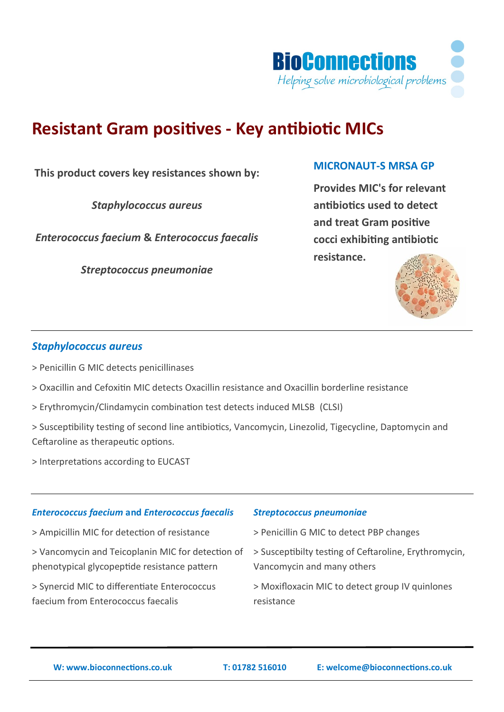

# **Resistant Gram positives - Key antibiotic MICs**

**This product covers key resistances shown by:**

*Staphylococcus aureus*

*Enterococcus faecium* **&** *Enterococcus faecalis*

*Streptococcus pneumoniae*

# **MICRONAUT-S MRSA GP**

**Provides MIC's for relevant antibiotics used to detect and treat Gram positive cocci exhibiting antibiotic resistance.**



# *Staphylococcus aureus*

> Penicillin G MIC detects penicillinases

> Oxacillin and Cefoxitin MIC detects Oxacillin resistance and Oxacillin borderline resistance

> Erythromycin/Clindamycin combination test detects induced MLSB (CLSI)

> Susceptibility testing of second line antibiotics, Vancomycin, Linezolid, Tigecycline, Daptomycin and Ceftaroline as therapeutic options.

> Interpretations according to EUCAST

# *Enterococcus faecium* **and** *Enterococcus faecalis*

- > Ampicillin MIC for detection of resistance
- > Vancomycin and Teicoplanin MIC for detection of phenotypical glycopeptide resistance pattern

> Synercid MIC to differentiate Enterococcus faecium from Enterococcus faecalis

#### *Streptococcus pneumoniae*

> Penicillin G MIC to detect PBP changes

> Susceptibilty testing of Ceftaroline, Erythromycin, Vancomycin and many others

> Moxifloxacin MIC to detect group IV quinlones resistance